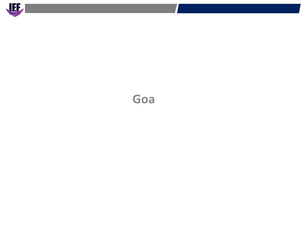

# **Goa**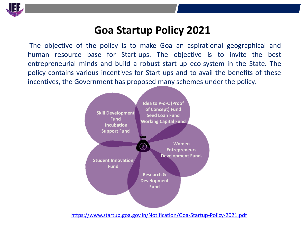

#### **Goa Startup Policy 2021**

The objective of the policy is to make Goa an aspirational geographical and human resource base for Start-ups. The objective is to invite the best entrepreneurial minds and build a robust start-up eco-system in the State. The policy contains various incentives for Start-ups and to avail the benefits of these incentives, the Government has proposed many schemes under the policy.



<https://www.startup.goa.gov.in/Notification/Goa-Startup-Policy-2021.pdf>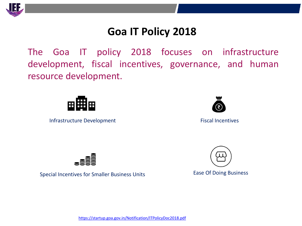

## **Goa IT Policy 2018**

The Goa IT policy 2018 focuses on infrastructure development, fiscal incentives, governance, and human resource development.



**Capital**  Infrastructure Development **Subsidy**



Fiscal Incentives





Special Incentives for Smaller Business Units **Ease Of Doing Business**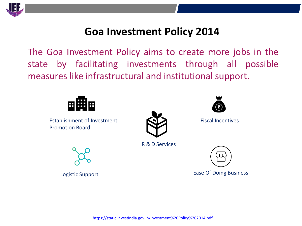

## **Goa Investment Policy 2014**

The Goa Investment Policy aims to create more jobs in the state by facilitating investments through all possible measures like infrastructural and institutional support.



**Capital**  Establishment of Investment **Subsidy** Promotion Board



R & D Services



Fiscal Incentives



Ease Of Doing Business Logistic Support

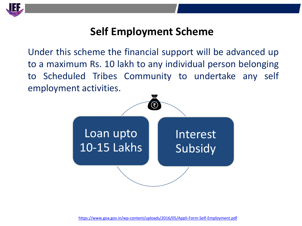

## **Self Employment Scheme**

Under this scheme the financial support will be advanced up to a maximum Rs. 10 lakh to any individual person belonging to Scheduled Tribes Community to undertake any self employment activities.

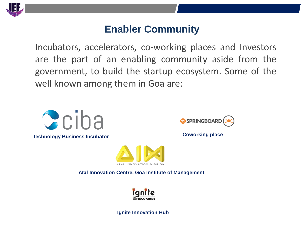

#### **Enabler Community**

Incubators, accelerators, co-working places and Investors are the part of an enabling community aside from the government, to build the startup ecosystem. Some of the well known among them in Goa are:



**Technology Business Incubator** 



**Coworking place**



**Atal Innovation Centre, Goa Institute of Management**



**Ignite Innovation Hub**